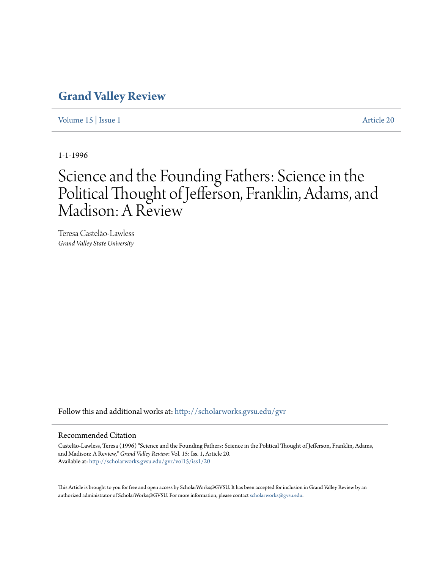## **[Grand Valley Review](http://scholarworks.gvsu.edu/gvr?utm_source=scholarworks.gvsu.edu%2Fgvr%2Fvol15%2Fiss1%2F20&utm_medium=PDF&utm_campaign=PDFCoverPages)**

[Volume 15](http://scholarworks.gvsu.edu/gvr/vol15?utm_source=scholarworks.gvsu.edu%2Fgvr%2Fvol15%2Fiss1%2F20&utm_medium=PDF&utm_campaign=PDFCoverPages) | [Issue 1](http://scholarworks.gvsu.edu/gvr/vol15/iss1?utm_source=scholarworks.gvsu.edu%2Fgvr%2Fvol15%2Fiss1%2F20&utm_medium=PDF&utm_campaign=PDFCoverPages) [Article 20](http://scholarworks.gvsu.edu/gvr/vol15/iss1/20?utm_source=scholarworks.gvsu.edu%2Fgvr%2Fvol15%2Fiss1%2F20&utm_medium=PDF&utm_campaign=PDFCoverPages)

1-1-1996

# Science and the Founding Fathers: Science in the Political Thought of Jefferson, Franklin, Adams, and Madison: A Review

Teresa Castelão-Lawless *Grand Valley State University*

Follow this and additional works at: [http://scholarworks.gvsu.edu/gvr](http://scholarworks.gvsu.edu/gvr?utm_source=scholarworks.gvsu.edu%2Fgvr%2Fvol15%2Fiss1%2F20&utm_medium=PDF&utm_campaign=PDFCoverPages)

#### Recommended Citation

Castelão-Lawless, Teresa (1996) "Science and the Founding Fathers: Science in the Political Thought of Jefferson, Franklin, Adams, and Madison: A Review," *Grand Valley Review*: Vol. 15: Iss. 1, Article 20. Available at: [http://scholarworks.gvsu.edu/gvr/vol15/iss1/20](http://scholarworks.gvsu.edu/gvr/vol15/iss1/20?utm_source=scholarworks.gvsu.edu%2Fgvr%2Fvol15%2Fiss1%2F20&utm_medium=PDF&utm_campaign=PDFCoverPages)

This Article is brought to you for free and open access by ScholarWorks@GVSU. It has been accepted for inclusion in Grand Valley Review by an authorized administrator of ScholarWorks@GVSU. For more information, please contact [scholarworks@gvsu.edu.](mailto:scholarworks@gvsu.edu)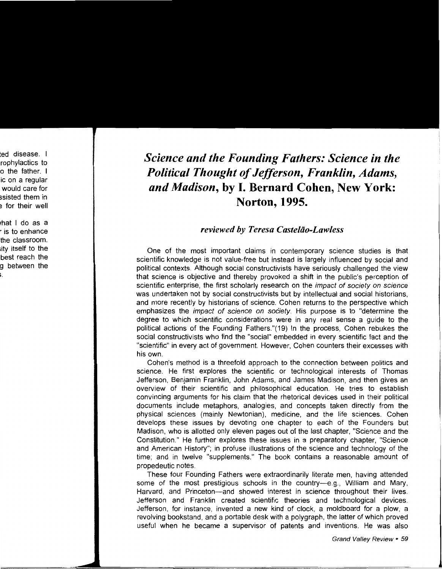## *Science and the Founding Fathers: Science in the Political Thought of Jefferson, Franklin, Adams, and Madison,* **by I. Bernard Cohen, New York: Norton, 1995.**

### *reviewed by Teresa Casteliio-Lawless*

One of the most important claims in contemporary science studies is that scientific knowledge is not value-free but instead is largely influenced by social and political contexts. Although social constructivists have seriously challenged the view that science is objective and thereby provoked a shift in the public's perception of scientific enterprise, the first scholarly research on the *impact of society on science* was undertaken not by social constructivists but by intellectual and social historians, and more recently by historians of science. Cohen returns to the perspective which emphasizes the *impact of science on society*. His purpose is to "determine the degree to which scientific considerations were in any real sense a guide to the political actions of the Founding Fathers."(19) In the process, Cohen rebukes the social constructivists who find the "social" embedded in every scientific fact and the "scientific" in every act of government. However, Cohen counters their excesses with his own.

Cohen's method is a threefold approach to the connection between politics and science. He first explores the scientific or technological interests of Thomas Jefferson, Benjamin Franklin, John Adams, and James Madison, and then gives an overview of their scientific and philosophical education. He tries to establish convincing arguments for his claim that the rhetorical devices used in their political documents include metaphors, analogies, and concepts taken directly from the physical sciences (mainly Newtonian), medicine, and the life sciences. Cohen develops these issues by devoting one chapter to each of the Founders but Madison, who is allotted only eleven pages out of the last chapter, "Science and the Constitution." He further explores these issues in a preparatory chapter, "Science and American History"; in profuse illustrations of the science and technology of the time; and in twelve "supplements." The book contains a reasonable amount of propedeutic notes.

These four Founding Fathers were extraordinarily literate men, having attended some of the most prestigious schools in the country-e.g., William and Mary, Harvard, and Princeton-and showed interest in science throughout their lives. Jefferson and Franklin created scientific theories and technological devices. Jefferson, for instance, invented a new kind of clock, a moldboard for a plow, a revolving bookstand, and a portable desk with a polygraph, the latter of which proved useful when he became a supervisor of patents and inventions. He was also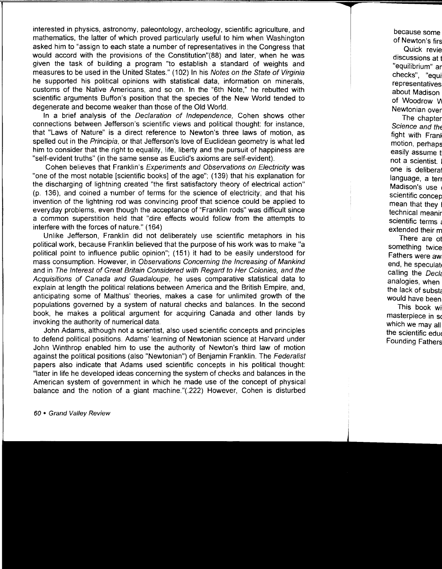interested in physics, astronomy, paleontology, archeology, scientific agriculture, and mathematics, the latter of which proved particularly useful to him when Washington asked him to "assign to each state a number of representatives in the Congress that would accord with the provisions of the Constitution"(88) and later, when he was given the task of building a program "to establish a standard of weights and measures to be used in the United States." (102) In his Notes on the State of Virginia he supported his political opinions with statistical data, information on minerals, customs of the Native Americans, and so on. In the "6th Note," he rebutted with scientific arguments Buffon's position that the species of the New World tended to degenerate and become weaker than those of the Old World.

In a brief analysis of the Declaration of Independence, Cohen shows other connections between Jefferson's scientific views and political thought: for instance, that "Laws of Nature" is a direct reference to Newton's three laws of motion, as spelled out in the Principia, or that Jefferson's love of Euclidean geometry is what led him to consider that the right to equality, life, liberty and the pursuit of happiness are "self-evident truths" (in the same sense as Euclid's axioms are self-evident).

Cohen believes that Franklin's Experiments and Observations on Electricity was "one of the most notable [scientific books] of the age"; (139) that his explanation for the discharging of lightning created "the first satisfactory theory of electrical action" (p. 136), and coined a number of terms for the science of electricity; and that his invention of the lightning rod was convincing proof that science could be applied to everyday problems, even though the acceptance of "Franklin rods" was difficult since a common superstition held that "dire effects would follow from the attempts to interfere with the forces of nature." (164)

Unlike Jefferson, Franklin did not deliberately use scientific metaphors in his political work, because Franklin believed that the purpose of his work was to make "a political point to influence public opinion"; (151) it had to be easily understood for mass consumption. However, in Observations Concerning the Increasing of Mankind and in The Interest of Great Britain Considered with Regard to Her Colonies, and the Acquisitions of Canada and Guadaloupe, he uses comparative statistical data to explain at length the political relations between America and the British Empire, and, anticipating some of Malthus' theories, makes a case for unlimited growth of the populations governed by a system of natural checks and balances. In the second book, he makes a political argument for acquiring Canada and other lands by invoking the authority of numerical data.

John Adams, although not a scientist, also used scientific concepts and principles to defend political positions. Adams' learning of Newtonian science at Harvard under John Winthrop enabled him to use the authority of Newton's third law of motion against the political positions (also "Newtonian") of Benjamin Franklin. The Federalist papers also indicate that Adams used scientific concepts in his political thought: "later in life he developed ideas concerning the system of checks and balances in the American system of government in which he made use of the concept of physical balance and the notion of a giant machine."(.222) However, Cohen is disturbed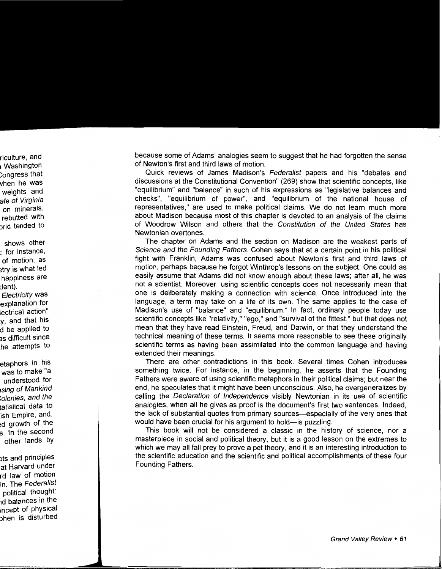because some of Adams' analogies seem to suggest that he had forgotten the sense of Newton's first and third laws of motion.

Quick reviews of James Madison's Federalist papers and his "debates and discussions at the Constitutional Convention" (269) show that scientific concepts, like "equilibrium" and "balance" in such of his expressions as "legislative balances and checks", "equilibrium of power", and "equilibrium of the national house of representatives," are used to make political claims. We do not learn much more about Madison because most of this chapter is devoted to an analysis of the claims of Woodrow Wilson and others that the Constitution of the United States has Newtonian overtones.

The chapter on Adams and the section on Madison are the weakest parts of Science and the Founding Fathers. Cohen says that at a certain point in his political fight with Franklin, Adams was confused about Newton's first and third laws of motion, perhaps because he forgot Winthrop's lessons on the subject. One could as easily assume that Adams did not know enough about these laws; after all, he was not a scientist. Moreover, using scientific concepts does not necessarily mean that one is deliberately making a connection with science. Once introduced into the language, a term may take on a life of its own. The same applies to the case of Madison's use of "balance" and "equilibrium." In fact, ordinary people today use scientific concepts like "relativity," "ego," and "survival of the fittest," but that does not mean that they have read Einstein, Freud, and Darwin, or that they understand the technical meaning of these terms. It seems more reasonable to see 'these originally scientific terms as having been assimilated into the common language and having extended their meanings.

There are other contradictions in this book. Several times Cohen introduces something twice. For instance, in the beginning, he asserts that the Founding Fathers were aware of using scientific metaphors in their political claims; but near the end, he speculates that it might have been unconscious. Also, he overgeneralizes by calling the Declaration of Independence visibly Newtonian in its use of scientific analogies, when all he gives as proof is the document's first two sentences. Indeed, the lack of substantial quotes from primary sources-especially of the very ones that would have been crucial for his argument to hold—is puzzling.

This book will not be considered a classic in the history of science, nor a masterpiece in social and political theory, but it is a good lesson on the extremes to which we may all fall prey to prove a pet theory, and it is an interesting introduction to the scientific education and the scientific and political accomplishments of these four Founding Fathers.